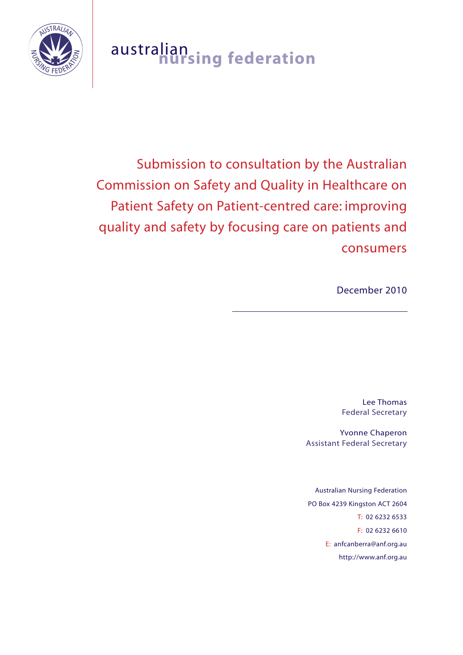

# australian **nursing federation**

Submission to consultation by the Australian Commission on Safety and Quality in Healthcare on Patient Safety on Patient-centred care: improving quality and safety by focusing care on patients and consumers

December 2010

Lee Thomas Federal Secretary

Yvonne Chaperon Assistant Federal Secretary

Australian Nursing Federation PO Box 4239 Kingston ACT 2604 T: 02 6232 6533 F: 02 6232 6610 E: anfcanberra@anf.org.au http://www.anf.org.au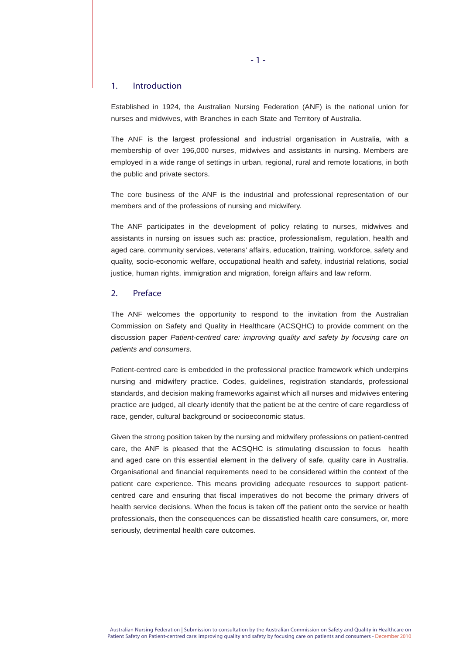## 1. Introduction

Established in 1924, the Australian Nursing Federation (ANF) is the national union for nurses and midwives, with Branches in each State and Territory of Australia.

The ANF is the largest professional and industrial organisation in Australia, with a membership of over 196,000 nurses, midwives and assistants in nursing. Members are employed in a wide range of settings in urban, regional, rural and remote locations, in both the public and private sectors.

The core business of the ANF is the industrial and professional representation of our members and of the professions of nursing and midwifery.

The ANF participates in the development of policy relating to nurses, midwives and assistants in nursing on issues such as: practice, professionalism, regulation, health and aged care, community services, veterans' affairs, education, training, workforce, safety and quality, socio-economic welfare, occupational health and safety, industrial relations, social justice, human rights, immigration and migration, foreign affairs and law reform.

# 2. Preface

The ANF welcomes the opportunity to respond to the invitation from the Australian Commission on Safety and Quality in Healthcare (ACSQHC) to provide comment on the discussion paper *Patient-centred care: improving quality and safety by focusing care on patients and consumers.* 

Patient-centred care is embedded in the professional practice framework which underpins nursing and midwifery practice. Codes, guidelines, registration standards, professional standards, and decision making frameworks against which all nurses and midwives entering practice are judged, all clearly identify that the patient be at the centre of care regardless of race, gender, cultural background or socioeconomic status.

Given the strong position taken by the nursing and midwifery professions on patient-centred care, the ANF is pleased that the ACSQHC is stimulating discussion to focus health and aged care on this essential element in the delivery of safe, quality care in Australia. Organisational and financial requirements need to be considered within the context of the patient care experience. This means providing adequate resources to support patientcentred care and ensuring that fiscal imperatives do not become the primary drivers of health service decisions. When the focus is taken off the patient onto the service or health professionals, then the consequences can be dissatisfied health care consumers, or, more seriously, detrimental health care outcomes.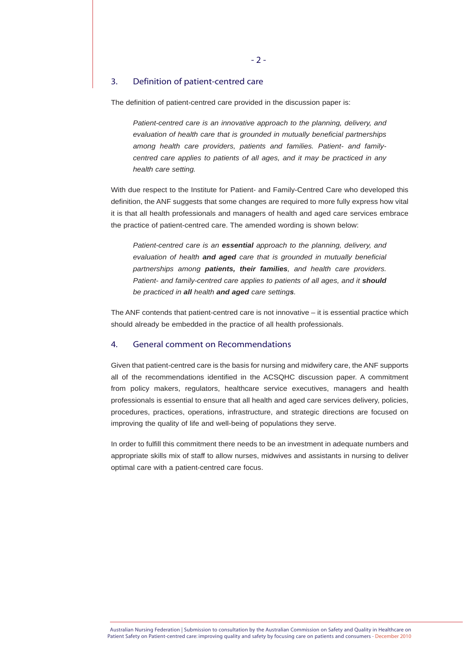# 3. Definition of patient-centred care

The definition of patient-centred care provided in the discussion paper is:

*Patient-centred care is an innovative approach to the planning, delivery, and evaluation of health care that is grounded in mutually beneficial partnerships among health care providers, patients and families. Patient- and familycentred care applies to patients of all ages, and it may be practiced in any health care setting.*

With due respect to the Institute for Patient- and Family-Centred Care who developed this definition, the ANF suggests that some changes are required to more fully express how vital it is that all health professionals and managers of health and aged care services embrace the practice of patient-centred care. The amended wording is shown below:

*Patient-centred care is an essential approach to the planning, delivery, and evaluation of health and aged care that is grounded in mutually beneficial partnerships among patients, their families, and health care providers. Patient- and family-centred care applies to patients of all ages, and it should be practiced in all health and aged care settings.*

The ANF contends that patient-centred care is not innovative – it is essential practice which should already be embedded in the practice of all health professionals.

# 4. General comment on Recommendations

Given that patient-centred care is the basis for nursing and midwifery care, the ANF supports all of the recommendations identified in the ACSQHC discussion paper. A commitment from policy makers, regulators, healthcare service executives, managers and health professionals is essential to ensure that all health and aged care services delivery, policies, procedures, practices, operations, infrastructure, and strategic directions are focused on improving the quality of life and well-being of populations they serve.

In order to fulfill this commitment there needs to be an investment in adequate numbers and appropriate skills mix of staff to allow nurses, midwives and assistants in nursing to deliver optimal care with a patient-centred care focus.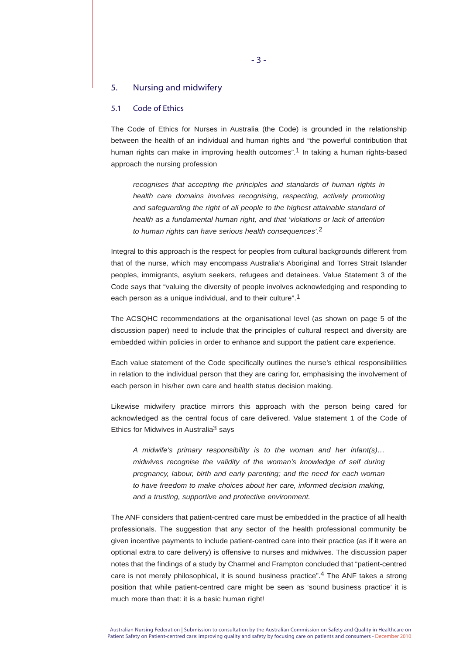# 5. Nursing and midwifery

# 5.1 Code of Ethics

The Code of Ethics for Nurses in Australia (the Code) is grounded in the relationship between the health of an individual and human rights and "the powerful contribution that human rights can make in improving health outcomes".<sup>1</sup> In taking a human rights-based approach the nursing profession

*recognises that accepting the principles and standards of human rights in health care domains involves recognising, respecting, actively promoting and safeguarding the right of all people to the highest attainable standard of health as a fundamental human right, and that 'violations or lack of attention to human rights can have serious health consequences'.*2

Integral to this approach is the respect for peoples from cultural backgrounds different from that of the nurse, which may encompass Australia's Aboriginal and Torres Strait Islander peoples, immigrants, asylum seekers, refugees and detainees. Value Statement 3 of the Code says that "valuing the diversity of people involves acknowledging and responding to each person as a unique individual, and to their culture".1

The ACSQHC recommendations at the organisational level (as shown on page 5 of the discussion paper) need to include that the principles of cultural respect and diversity are embedded within policies in order to enhance and support the patient care experience.

Each value statement of the Code specifically outlines the nurse's ethical responsibilities in relation to the individual person that they are caring for, emphasising the involvement of each person in his/her own care and health status decision making.

Likewise midwifery practice mirrors this approach with the person being cared for acknowledged as the central focus of care delivered. Value statement 1 of the Code of Ethics for Midwives in Australia<sup>3</sup> says

*A midwife's primary responsibility is to the woman and her infant(s)… midwives recognise the validity of the woman's knowledge of self during pregnancy, labour, birth and early parenting; and the need for each woman to have freedom to make choices about her care, informed decision making, and a trusting, supportive and protective environment.*

The ANF considers that patient-centred care must be embedded in the practice of all health professionals. The suggestion that any sector of the health professional community be given incentive payments to include patient-centred care into their practice (as if it were an optional extra to care delivery) is offensive to nurses and midwives. The discussion paper notes that the findings of a study by Charmel and Frampton concluded that "patient-centred care is not merely philosophical, it is sound business practice".4 The ANF takes a strong position that while patient-centred care might be seen as 'sound business practice' it is much more than that: it is a basic human right!

Australian Nursing Federation | Submission to consultation by the Australian Commission on Safety and Quality in Healthcare on Patient Safety on Patient-centred care: improving quality and safety by focusing care on patients and consumers - December 2010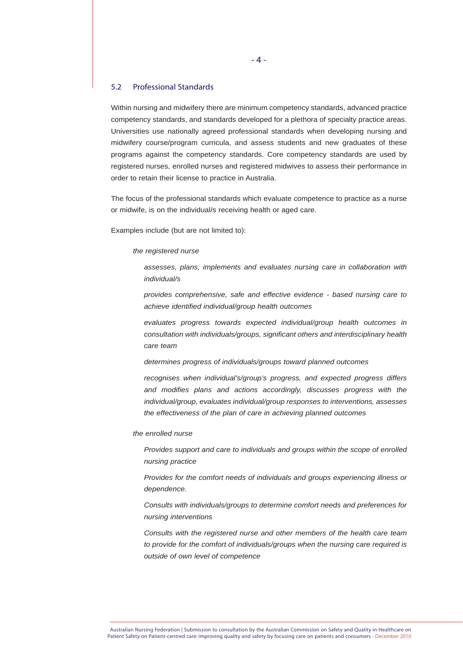# 5.2 Professional Standards

Within nursing and midwifery there are minimum competency standards, advanced practice competency standards, and standards developed for a plethora of specialty practice areas. Universities use nationally agreed professional standards when developing nursing and midwifery course/program curricula, and assess students and new graduates of these programs against the competency standards. Core competency standards are used by registered nurses, enrolled nurses and registered midwives to assess their performance in order to retain their license to practice in Australia.

The focus of the professional standards which evaluate competence to practice as a nurse or midwife, is on the individual/s receiving health or aged care.

Examples include (but are not limited to):

## *the registered nurse*

*assesses, plans, implements and evaluates nursing care in collaboration with individual/s* 

*provides comprehensive, safe and effective evidence - based nursing care to achieve identified individual/group health outcomes*

*evaluates progress towards expected individual/group health outcomes in consultation with individuals/groups, significant others and interdisciplinary health care team* 

*determines progress of individuals/groups toward planned outcomes* 

*recognises when individual's/group's progress, and expected progress differs and modifies plans and actions accordingly, discusses progress with the individual/group, evaluates individual/group responses to interventions, assesses the effectiveness of the plan of care in achieving planned outcomes*

#### *the enrolled nurse*

*Provides support and care to individuals and groups within the scope of enrolled nursing practice* 

*Provides for the comfort needs of individuals and groups experiencing illness or dependence.* 

*Consults with individuals/groups to determine comfort needs and preferences for nursing interventions* 

*Consults with the registered nurse and other members of the health care team to provide for the comfort of individuals/groups when the nursing care required is outside of own level of competence*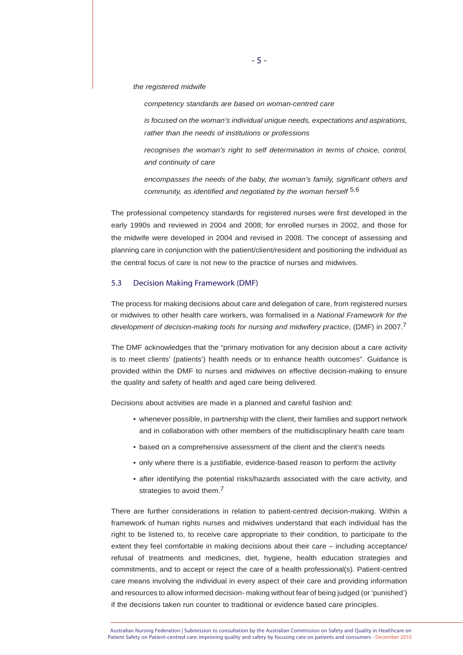*the registered midwife*

*competency standards are based on woman-centred care* 

*is focused on the woman's individual unique needs, expectations and aspirations, rather than the needs of institutions or professions*

*recognises the woman's right to self determination in terms of choice, control, and continuity of care*

*encompasses the needs of the baby, the woman's family, significant others and community, as identified and negotiated by the woman herself* 5,6

The professional competency standards for registered nurses were first developed in the early 1990s and reviewed in 2004 and 2008; for enrolled nurses in 2002, and those for the midwife were developed in 2004 and revised in 2008. The concept of assessing and planning care in conjunction with the patient/client/resident and positioning the individual as the central focus of care is not new to the practice of nurses and midwives.

## 5.3 Decision Making Framework (DMF)

The process for making decisions about care and delegation of care, from registered nurses or midwives to other health care workers, was formalised in a *National Framework for the development of decision-making tools for nursing and midwifery practice*, (DMF) in 2007.7

The DMF acknowledges that the "primary motivation for any decision about a care activity is to meet clients' (patients') health needs or to enhance health outcomes". Guidance is provided within the DMF to nurses and midwives on effective decision-making to ensure the quality and safety of health and aged care being delivered.

Decisions about activities are made in a planned and careful fashion and:

- whenever possible, in partnership with the client, their families and support network and in collaboration with other members of the multidisciplinary health care team
- based on a comprehensive assessment of the client and the client's needs
- only where there is a justifiable, evidence-based reason to perform the activity
- after identifying the potential risks/hazards associated with the care activity, and strategies to avoid them.<sup>7</sup>

There are further considerations in relation to patient-centred decision-making. Within a framework of human rights nurses and midwives understand that each individual has the right to be listened to, to receive care appropriate to their condition, to participate to the extent they feel comfortable in making decisions about their care – including acceptance/ refusal of treatments and medicines, diet, hygiene, health education strategies and commitments, and to accept or reject the care of a health professional(s). Patient-centred care means involving the individual in every aspect of their care and providing information and resources to allow informed decision- making without fear of being judged (or 'punished') if the decisions taken run counter to traditional or evidence based care principles.

Australian Nursing Federation | Submission to consultation by the Australian Commission on Safety and Quality in Healthcare on Patient Safety on Patient-centred care: improving quality and safety by focusing care on patients and consumers - December 2010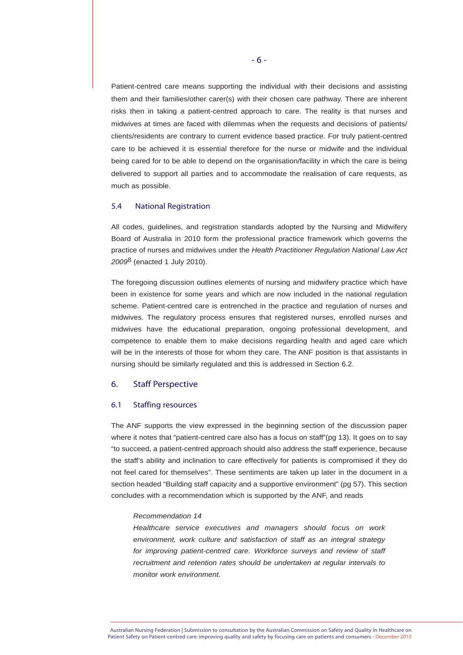Patient-centred care means supporting the individual with their decisions and assisting them and their families/other carer(s) with their chosen care pathway. There are inherent risks then in taking a patient-centred approach to care. The reality is that nurses and midwives at times are faced with dilemmas when the requests and decisions of patients/ clients/residents are contrary to current evidence based practice. For truly patient-centred care to be achieved it is essential therefore for the nurse or midwife and the individual being cared for to be able to depend on the organisation/facility in which the care is being delivered to support all parties and to accommodate the realisation of care requests, as much as possible.

# 5.4 National Registration

All codes, guidelines, and registration standards adopted by the Nursing and Midwifery Board of Australia in 2010 form the professional practice framework which governs the practice of nurses and midwives under the *Health Practitioner Regulation National Law Act 2009*8 (enacted 1 July 2010).

The foregoing discussion outlines elements of nursing and midwifery practice which have been in existence for some years and which are now included in the national regulation scheme. Patient-centred care is entrenched in the practice and regulation of nurses and midwives. The regulatory process ensures that registered nurses, enrolled nurses and midwives have the educational preparation, ongoing professional development, and competence to enable them to make decisions regarding health and aged care which will be in the interests of those for whom they care. The ANF position is that assistants in nursing should be similarly regulated and this is addressed in Section 6.2.

## 6. Staff Perspective

## 6.1 Staffing resources

The ANF supports the view expressed in the beginning section of the discussion paper where it notes that "patient-centred care also has a focus on staff"(pg 13). It goes on to say "to succeed, a patient-centred approach should also address the staff experience, because the staff's ability and inclination to care effectively for patients is compromised if they do not feel cared for themselves". These sentiments are taken up later in the document in a section headed "Building staff capacity and a supportive environment" (pg 57). This section concludes with a recommendation which is supported by the ANF, and reads

### *Recommendation 14*

*Healthcare service executives and managers should focus on work environment, work culture and satisfaction of staff as an integral strategy*  for improving patient-centred care. Workforce surveys and review of staff *recruitment and retention rates should be undertaken at regular intervals to monitor work environment.*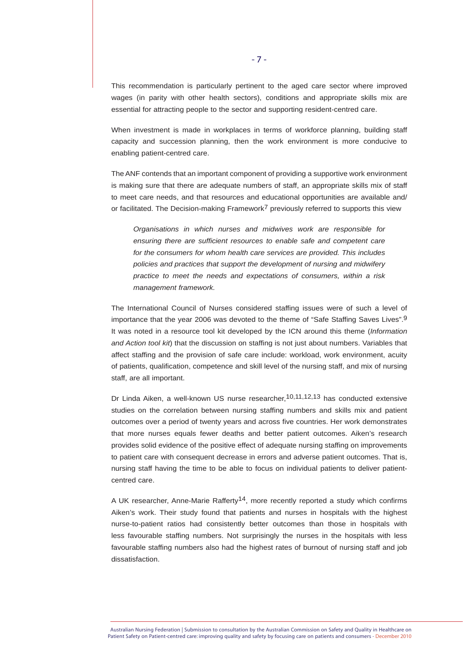This recommendation is particularly pertinent to the aged care sector where improved wages (in parity with other health sectors), conditions and appropriate skills mix are essential for attracting people to the sector and supporting resident-centred care.

When investment is made in workplaces in terms of workforce planning, building staff capacity and succession planning, then the work environment is more conducive to enabling patient-centred care.

The ANF contends that an important component of providing a supportive work environment is making sure that there are adequate numbers of staff, an appropriate skills mix of staff to meet care needs, and that resources and educational opportunities are available and/ or facilitated. The Decision-making Framework<sup>7</sup> previously referred to supports this view

*Organisations in which nurses and midwives work are responsible for ensuring there are sufficient resources to enable safe and competent care for the consumers for whom health care services are provided. This includes policies and practices that support the development of nursing and midwifery practice to meet the needs and expectations of consumers, within a risk management framework.*

The International Council of Nurses considered staffing issues were of such a level of importance that the year 2006 was devoted to the theme of "Safe Staffing Saves Lives".9 It was noted in a resource tool kit developed by the ICN around this theme (*Information and Action tool kit*) that the discussion on staffing is not just about numbers. Variables that affect staffing and the provision of safe care include: workload, work environment, acuity of patients, qualification, competence and skill level of the nursing staff, and mix of nursing staff, are all important.

Dr Linda Aiken, a well-known US nurse researcher,  $10,11,12,13$  has conducted extensive studies on the correlation between nursing staffing numbers and skills mix and patient outcomes over a period of twenty years and across five countries. Her work demonstrates that more nurses equals fewer deaths and better patient outcomes. Aiken's research provides solid evidence of the positive effect of adequate nursing staffing on improvements to patient care with consequent decrease in errors and adverse patient outcomes. That is, nursing staff having the time to be able to focus on individual patients to deliver patientcentred care.

A UK researcher, Anne-Marie Rafferty<sup>14</sup>, more recently reported a study which confirms Aiken's work. Their study found that patients and nurses in hospitals with the highest nurse-to-patient ratios had consistently better outcomes than those in hospitals with less favourable staffing numbers. Not surprisingly the nurses in the hospitals with less favourable staffing numbers also had the highest rates of burnout of nursing staff and job dissatisfaction.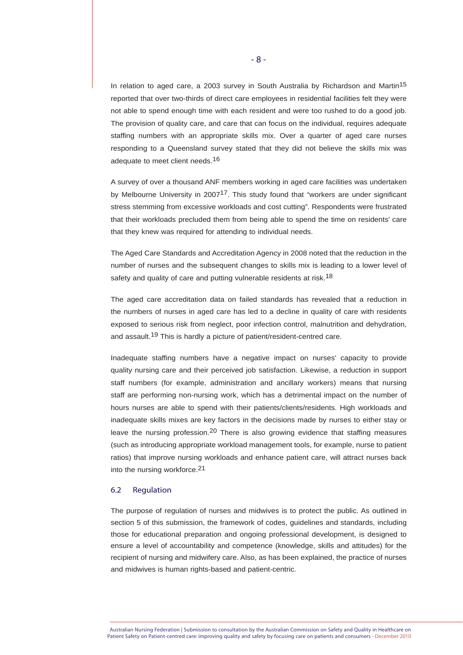In relation to aged care, a 2003 survey in South Australia by Richardson and Martin<sup>15</sup> reported that over two-thirds of direct care employees in residential facilities felt they were not able to spend enough time with each resident and were too rushed to do a good job. The provision of quality care, and care that can focus on the individual, requires adequate staffing numbers with an appropriate skills mix. Over a quarter of aged care nurses responding to a Queensland survey stated that they did not believe the skills mix was adequate to meet client needs.<sup>16</sup>

A survey of over a thousand ANF members working in aged care facilities was undertaken by Melbourne University in 2007<sup>17</sup>. This study found that "workers are under significant stress stemming from excessive workloads and cost cutting". Respondents were frustrated that their workloads precluded them from being able to spend the time on residents' care that they knew was required for attending to individual needs.

The Aged Care Standards and Accreditation Agency in 2008 noted that the reduction in the number of nurses and the subsequent changes to skills mix is leading to a lower level of safety and quality of care and putting vulnerable residents at risk.<sup>18</sup>

The aged care accreditation data on failed standards has revealed that a reduction in the numbers of nurses in aged care has led to a decline in quality of care with residents exposed to serious risk from neglect, poor infection control, malnutrition and dehydration, and assault.<sup>19</sup> This is hardly a picture of patient/resident-centred care.

Inadequate staffing numbers have a negative impact on nurses' capacity to provide quality nursing care and their perceived job satisfaction. Likewise, a reduction in support staff numbers (for example, administration and ancillary workers) means that nursing staff are performing non-nursing work, which has a detrimental impact on the number of hours nurses are able to spend with their patients/clients/residents. High workloads and inadequate skills mixes are key factors in the decisions made by nurses to either stay or leave the nursing profession.<sup>20</sup> There is also growing evidence that staffing measures (such as introducing appropriate workload management tools, for example, nurse to patient ratios) that improve nursing workloads and enhance patient care, will attract nurses back into the nursing workforce.21

# 6.2 Regulation

The purpose of regulation of nurses and midwives is to protect the public. As outlined in section 5 of this submission, the framework of codes, guidelines and standards, including those for educational preparation and ongoing professional development, is designed to ensure a level of accountability and competence (knowledge, skills and attitudes) for the recipient of nursing and midwifery care. Also, as has been explained, the practice of nurses and midwives is human rights-based and patient-centric.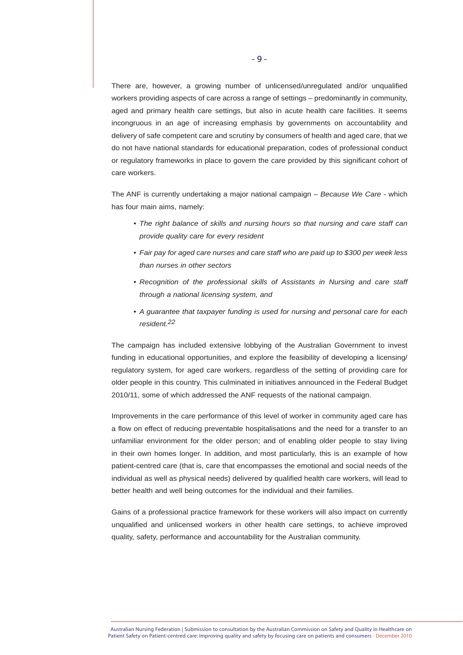There are, however, a growing number of unlicensed/unregulated and/or unqualified workers providing aspects of care across a range of settings – predominantly in community, aged and primary health care settings, but also in acute health care facilities. It seems incongruous in an age of increasing emphasis by governments on accountability and delivery of safe competent care and scrutiny by consumers of health and aged care, that we do not have national standards for educational preparation, codes of professional conduct or regulatory frameworks in place to govern the care provided by this significant cohort of care workers.

The ANF is currently undertaking a major national campaign – *Because We Care* - which has four main aims, namely:

- *The right balance of skills and nursing hours so that nursing and care staff can provide quality care for every resident*
- *Fair pay for aged care nurses and care staff who are paid up to \$300 per week less than nurses in other sectors*
- *Recognition of the professional skills of Assistants in Nursing and care staff through a national licensing system, and*
- *A guarantee that taxpayer funding is used for nursing and personal care for each resident.22*

The campaign has included extensive lobbying of the Australian Government to invest funding in educational opportunities, and explore the feasibility of developing a licensing/ regulatory system, for aged care workers, regardless of the setting of providing care for older people in this country. This culminated in initiatives announced in the Federal Budget 2010/11, some of which addressed the ANF requests of the national campaign.

Improvements in the care performance of this level of worker in community aged care has a flow on effect of reducing preventable hospitalisations and the need for a transfer to an unfamiliar environment for the older person; and of enabling older people to stay living in their own homes longer. In addition, and most particularly, this is an example of how patient-centred care (that is, care that encompasses the emotional and social needs of the individual as well as physical needs) delivered by qualified health care workers, will lead to better health and well being outcomes for the individual and their families.

Gains of a professional practice framework for these workers will also impact on currently unqualified and unlicensed workers in other health care settings, to achieve improved quality, safety, performance and accountability for the Australian community.

Australian Nursing Federation | Submission to consultation by the Australian Commission on Safety and Quality in Healthcare on Patient Safety on Patient-centred care: improving quality and safety by focusing care on patients and consumers - December 2010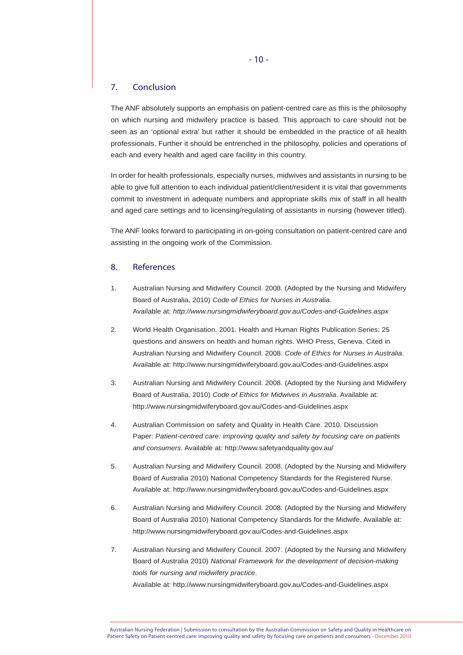# 7. Conclusion

The ANF absolutely supports an emphasis on patient-centred care as this is the philosophy on which nursing and midwifery practice is based. This approach to care should not be seen as an 'optional extra' but rather it should be embedded in the practice of all health professionals. Further it should be entrenched in the philosophy, policies and operations of each and every health and aged care facility in this country.

In order for health professionals, especially nurses, midwives and assistants in nursing to be able to give full attention to each individual patient/client/resident it is vital that governments commit to investment in adequate numbers and appropriate skills mix of staff in all health and aged care settings and to licensing/regulating of assistants in nursing (however titled).

The ANF looks forward to participating in on-going consultation on patient-centred care and assisting in the ongoing work of the Commission.

# 8. References

- 1. Australian Nursing and Midwifery Council. 2008. (Adopted by the Nursing and Midwifery Board of Australia, 2010) *Code of Ethics for Nurses in Australia*. Available at: *http://www.nursingmidwiferyboard.gov.au/Codes-and-Guidelines.aspx*
- 2. World Health Organisation. 2001. Health and Human Rights Publication Series: 25 questions and answers on health and human rights. WHO Press, Geneva. Cited in Australian Nursing and Midwifery Council. 2008. *Code of Ethics for Nurses in Australia*. Available at: http://www.nursingmidwiferyboard.gov.au/Codes-and-Guidelines.aspx
- 3. Australian Nursing and Midwifery Council. 2008. (Adopted by the Nursing and Midwifery Board of Australia, 2010) *Code of Ethics for Midwives in Australia*. Available at: http://www.nursingmidwiferyboard.gov.au/Codes-and-Guidelines.aspx
- 4. Australian Commission on safety and Quality in Health Care. 2010. Discussion Paper: *Patient-centred care: improving quality and safety by focusing care on patients and consumers.* Available at: http://www.safetyandquality.gov.au/
- 5. Australian Nursing and Midwifery Council. 2008. (Adopted by the Nursing and Midwifery Board of Australia 2010) National Competency Standards for the Registered Nurse. Available at: http://www.nursingmidwiferyboard.gov.au/Codes-and-Guidelines.aspx
- 6. Australian Nursing and Midwifery Council. 2008. (Adopted by the Nursing and Midwifery Board of Australia 2010) National Competency Standards for the Midwife. Available at: http://www.nursingmidwiferyboard.gov.au/Codes-and-Guidelines.aspx
- 7. Australian Nursing and Midwifery Council. 2007. (Adopted by the Nursing and Midwifery Board of Australia 2010) *National Framework for the development of decision-making tools for nursing and midwifery practice*. Available at: http://www.nursingmidwiferyboard.gov.au/Codes-and-Guidelines.aspx

Australian Nursing Federation | Submission to consultation by the Australian Commission on Safety and Quality in Healthcare on Patient Safety on Patient-centred care: improving quality and safety by focusing care on patients and consumers - December 2010